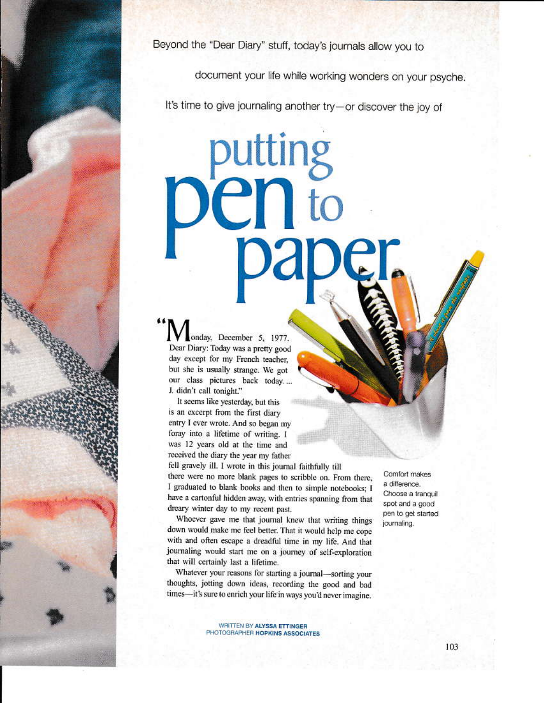Beyond the "Dear Diary" stuff, today's journals allow you to

**putting<br>Cn to** 

document your life while working wonders on your psyche.

It's time to give journaling another try-or discover the joy of

onday, December 5, 1977. Dear Diary: Today was a pretty good day except for my French teacher, but she is usually strange. We got our class pictures back today... J. didn't call tonight."

It seems like yesterday, but this is an excerpt from the first diary entry I ever wrote. And so began my foray into a lifetime of writing. I was 12 years old at the time and received the diary the year my father

fell gravely ill. I wrote in this journal faithfully till there were no more blank pages to scribble on. From there, I graduated to blank books and then to simple notebooks; I have a cartonful hidden away, with entries spanning from that dreary winter day to my recent past.

Whoever gave me that journal knew that writing things down would make me feel better. That it would help me cope with and often escape a dreadful time in my life. And that journaling would start me on a journey of self-exploration that will certainly last a lifetime.

Whatever your reasons for starting a journal-sorting your thoughts, jotting down ideas, recording the good and bad times-it's sure to enrich your life in ways you'd never imagine.

a difference. Choose a tranquil spot and a good pen to get started journaling.

Comfort makes

WRITTEN BY ALYSSA ETTINGER PHOTOGRAPHER HOPKINS ASSOCIATES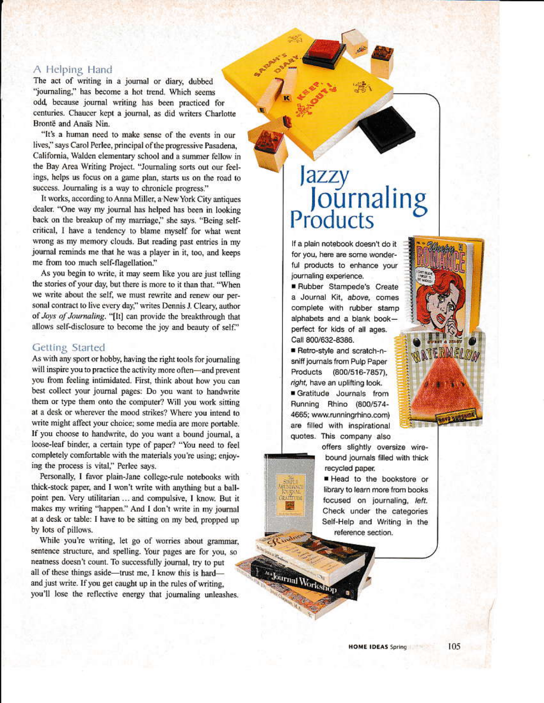# A Helping Hand

The act of writing in a journal or diary, dubbed "journaling," has become a hot trend. Which seems odd, because journal writing has been practiced for centuries. Chaucer kept a journal, as did writers Charlotte Brontë and Anaïs Nin.

"It's a human need to make sense of the events in our lives," says Carol Perlee, principal of the progressive Pasadena, California, Walden elementary school and a summer fellow in the Bay Area Writing Project. "Journaling sorts out our feelings, helps us focus on a game plan, starts us on the road to success. Journaling is a way to chronicle progress."

It works, according to Anna Miller, a New York City antiques dealer. "One way my journal has helped has been in looking back on the breakup of my marriage," she says. "Being selfcritical, I have a tendency to blame myself for what went wrong as my memory clouds. But reading past entries in my journal reminds me that he was a player in it, too, and keeps me from too much self-flagellation."

As you begin to write, it may seem like you are just telling the stories of your day, but there is more to it than that. "When we write about the self, we must rewrite and renew our personal contract to live every day," writes Dennis J. Cleary, author of Joys of Journaling. "[It] can provide the breakthrough that allows self-disclosure to become the joy and beauty of self."

## Getting Started

As with any sport or hobby, having the right tools for journaling will inspire you to practice the activity more often-and prevent you from feeling intimidated. First, think about how you can best collect your journal pages: Do you want to handwrite them or type them onto the computer? Will you work sitting at a desk or wherever the mood strikes? Where you intend to write might affect your choice; some media are more portable. If you choose to handwrite, do you want a bound journal, a loose-leaf binder, a certain type of paper? "You need to feel completely comfortable with the materials you're using; enjoying the process is vital," Perlee says.

Personally, I favor plain-Jane college-rule notebooks with thick-stock paper, and I won't write with anything but a ballpoint pen. Very utilitarian ... and compulsive, I know. But it makes my writing "happen." And I don't write in my journal at a desk or table: I have to be sitting on my bed, propped up by lots of pillows.

While you're writing, let go of worries about grammar, sentence structure, and spelling. Your pages are for you, so neatness doesn't count. To successfully journal, try to put all of these things aside—trust me, I know this is hard and just write. If you get caught up in the rules of writing, you'll lose the reflective energy that journaling unleashes.

# Jazzy<br>Journaling<br>Products

If a plain notebook doesn't do it for you, here are some wonderful products to enhance your journaling experience.

Rubber Stampede's Create a Journal Kit, above, comes complete with rubber stamp alphabets and a blank bookperfect for kids of all ages. Call 800/632-8386.

Retro-style and scratch-nsniff journals from Pulp Paper Products (800/516-7857), right, have an uplifting look.

Gratitude Journals from Running Rhino (800/574-4665; www.runningrhino.com) are filled with inspirational quotes. This company also

**IPATTE** 

yr.

Journal Worksh

offers slightly oversize wirebound journals filled with thick recycled paper.

Head to the bookstore or library to learn more from books focused on journaling, left. Check under the categories Self-Help and Writing in the reference section.

ERMELOA